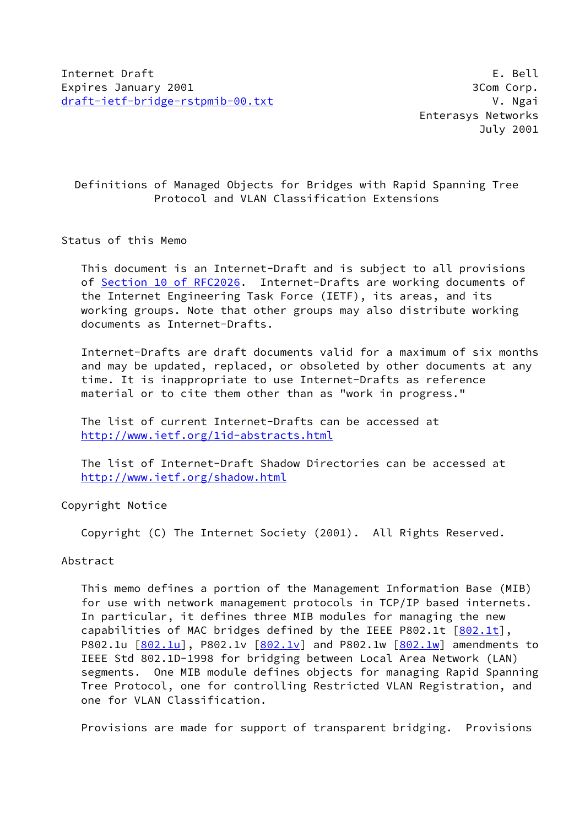# Definitions of Managed Objects for Bridges with Rapid Spanning Tree Protocol and VLAN Classification Extensions

#### Status of this Memo

 This document is an Internet-Draft and is subject to all provisions of Section [10 of RFC2026.](https://datatracker.ietf.org/doc/pdf/rfc2026#section-10) Internet-Drafts are working documents of the Internet Engineering Task Force (IETF), its areas, and its working groups. Note that other groups may also distribute working documents as Internet-Drafts.

 Internet-Drafts are draft documents valid for a maximum of six months and may be updated, replaced, or obsoleted by other documents at any time. It is inappropriate to use Internet-Drafts as reference material or to cite them other than as "work in progress."

 The list of current Internet-Drafts can be accessed at <http://www.ietf.org/1id-abstracts.html>

 The list of Internet-Draft Shadow Directories can be accessed at <http://www.ietf.org/shadow.html>

Copyright Notice

Copyright (C) The Internet Society (2001). All Rights Reserved.

#### Abstract

 This memo defines a portion of the Management Information Base (MIB) for use with network management protocols in TCP/IP based internets. In particular, it defines three MIB modules for managing the new capabilities of MAC bridges defined by the IEEE P802.1t  $[802.1t]$  $[802.1t]$ , P802.1u  $[802.1u]$  $[802.1u]$ , P[802.1v](#page-25-0)  $[802.1v]$  and P802.1w  $[802.1w]$  $[802.1w]$  amendments to IEEE Std 802.1D-1998 for bridging between Local Area Network (LAN) segments. One MIB module defines objects for managing Rapid Spanning Tree Protocol, one for controlling Restricted VLAN Registration, and one for VLAN Classification.

Provisions are made for support of transparent bridging. Provisions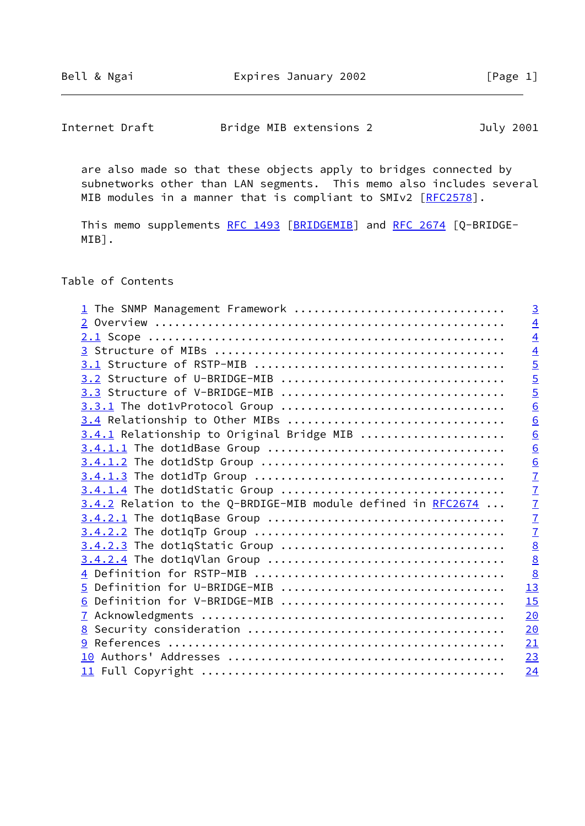| Internet Draft | Bridge MIB extensions 2 | July 2001 |
|----------------|-------------------------|-----------|
|----------------|-------------------------|-----------|

 are also made so that these objects apply to bridges connected by subnetworks other than LAN segments. This memo also includes several MIB modules in a manner that is compliant to SMIv2 [[RFC2578\]](https://datatracker.ietf.org/doc/pdf/rfc2578).

This memo supplements [RFC 1493](https://datatracker.ietf.org/doc/pdf/rfc1493) [\[BRIDGEMIB](#page-24-2)] and [RFC 2674](https://datatracker.ietf.org/doc/pdf/rfc2674) [Q-BRIDGE-MIB].

Table of Contents

| <u>1</u> The SNMP Management Framework                         | $\overline{3}$  |
|----------------------------------------------------------------|-----------------|
|                                                                | $\overline{4}$  |
|                                                                | $\overline{4}$  |
|                                                                | $\overline{4}$  |
|                                                                | $\overline{5}$  |
|                                                                | $\overline{5}$  |
|                                                                | $\overline{5}$  |
|                                                                | 6               |
| 3.4 Relationship to Other MIBs                                 | $\underline{6}$ |
| 3.4.1 Relationship to Original Bridge MIB                      | $\underline{6}$ |
|                                                                | $\overline{6}$  |
|                                                                | $\overline{6}$  |
|                                                                | $\overline{1}$  |
|                                                                | $\overline{7}$  |
| $3.4.2$ Relation to the Q-BRDIGE-MIB module defined in RFC2674 | $\frac{7}{7}$   |
|                                                                |                 |
|                                                                | $\overline{1}$  |
|                                                                | $\underline{8}$ |
|                                                                | $\underline{8}$ |
|                                                                | $\underline{8}$ |
| 5 Definition for U-BRIDGE-MIB                                  | 13              |
| 6 Definition for V-BRIDGE-MIB                                  | 15              |
|                                                                | 20              |
|                                                                | 20              |
|                                                                | 21              |
|                                                                | 23              |
|                                                                | 24              |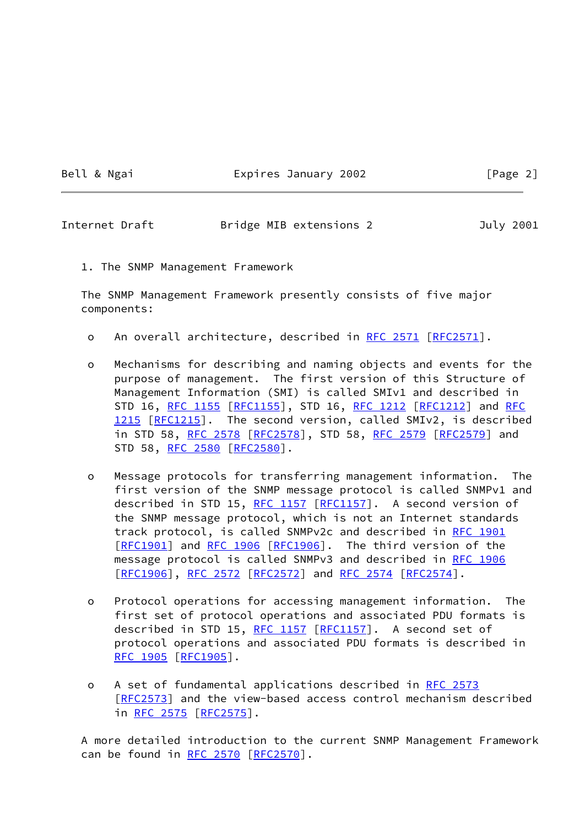Bell & Ngai **Expires January 2002** [Page 2]

<span id="page-2-0"></span>Internet Draft Bridge MIB extensions 2 July 2001

1. The SNMP Management Framework

 The SNMP Management Framework presently consists of five major components:

- o An overall architecture, described in [RFC 2571 \[RFC2571](https://datatracker.ietf.org/doc/pdf/rfc2571)].
- o Mechanisms for describing and naming objects and events for the purpose of management. The first version of this Structure of Management Information (SMI) is called SMIv1 and described in STD 16, [RFC 1155](https://datatracker.ietf.org/doc/pdf/rfc1155) [[RFC1155](https://datatracker.ietf.org/doc/pdf/rfc1155)], STD 16, [RFC 1212](https://datatracker.ietf.org/doc/pdf/rfc1212) [[RFC1212](https://datatracker.ietf.org/doc/pdf/rfc1212)] and [RFC](https://datatracker.ietf.org/doc/pdf/rfc1215) [1215](https://datatracker.ietf.org/doc/pdf/rfc1215) [[RFC1215](https://datatracker.ietf.org/doc/pdf/rfc1215)]. The second version, called SMIv2, is described in STD 58, [RFC 2578](https://datatracker.ietf.org/doc/pdf/rfc2578) [\[RFC2578](https://datatracker.ietf.org/doc/pdf/rfc2578)], STD 58, [RFC 2579 \[RFC2579](https://datatracker.ietf.org/doc/pdf/rfc2579)] and STD 58, [RFC 2580](https://datatracker.ietf.org/doc/pdf/rfc2580) [[RFC2580](https://datatracker.ietf.org/doc/pdf/rfc2580)].
- o Message protocols for transferring management information. The first version of the SNMP message protocol is called SNMPv1 and described in STD 15, [RFC 1157](https://datatracker.ietf.org/doc/pdf/rfc1157) [[RFC1157\]](https://datatracker.ietf.org/doc/pdf/rfc1157). A second version of the SNMP message protocol, which is not an Internet standards track protocol, is called SNMPv2c and described in [RFC 1901](https://datatracker.ietf.org/doc/pdf/rfc1901) [\[RFC1901](https://datatracker.ietf.org/doc/pdf/rfc1901)] and [RFC 1906 \[RFC1906](https://datatracker.ietf.org/doc/pdf/rfc1906)]. The third version of the message protocol is called SNMPv3 and described in [RFC 1906](https://datatracker.ietf.org/doc/pdf/rfc1906) [\[RFC1906](https://datatracker.ietf.org/doc/pdf/rfc1906)], [RFC 2572](https://datatracker.ietf.org/doc/pdf/rfc2572) [\[RFC2572](https://datatracker.ietf.org/doc/pdf/rfc2572)] and [RFC 2574 \[RFC2574](https://datatracker.ietf.org/doc/pdf/rfc2574)].
- o Protocol operations for accessing management information. The first set of protocol operations and associated PDU formats is described in STD 15, [RFC 1157](https://datatracker.ietf.org/doc/pdf/rfc1157) [[RFC1157\]](https://datatracker.ietf.org/doc/pdf/rfc1157). A second set of protocol operations and associated PDU formats is described in [RFC 1905](https://datatracker.ietf.org/doc/pdf/rfc1905) [[RFC1905](https://datatracker.ietf.org/doc/pdf/rfc1905)].
- o A set of fundamental applications described in [RFC 2573](https://datatracker.ietf.org/doc/pdf/rfc2573) [\[RFC2573](https://datatracker.ietf.org/doc/pdf/rfc2573)] and the view-based access control mechanism described in [RFC 2575](https://datatracker.ietf.org/doc/pdf/rfc2575) [\[RFC2575](https://datatracker.ietf.org/doc/pdf/rfc2575)].

 A more detailed introduction to the current SNMP Management Framework can be found in [RFC 2570](https://datatracker.ietf.org/doc/pdf/rfc2570) [\[RFC2570](https://datatracker.ietf.org/doc/pdf/rfc2570)].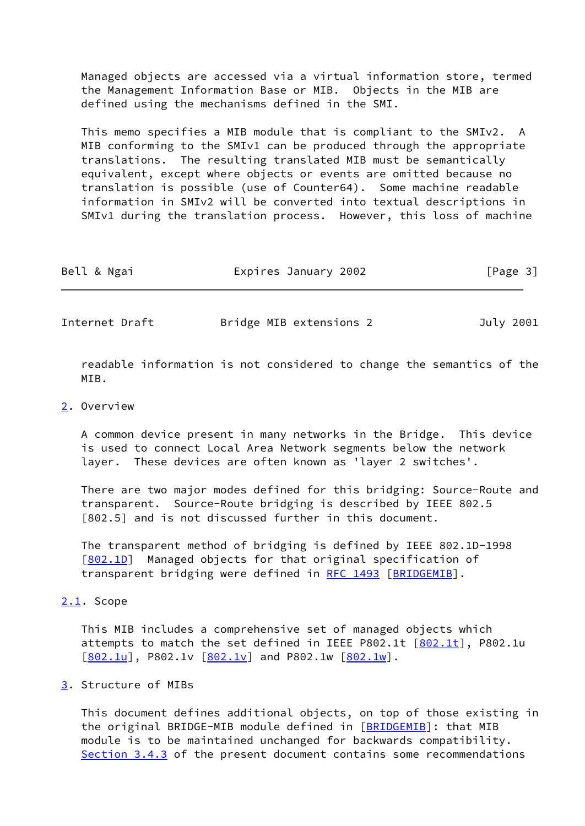Managed objects are accessed via a virtual information store, termed the Management Information Base or MIB. Objects in the MIB are defined using the mechanisms defined in the SMI.

 This memo specifies a MIB module that is compliant to the SMIv2. A MIB conforming to the SMIv1 can be produced through the appropriate translations. The resulting translated MIB must be semantically equivalent, except where objects or events are omitted because no translation is possible (use of Counter64). Some machine readable information in SMIv2 will be converted into textual descriptions in SMIv1 during the translation process. However, this loss of machine

| Bell & Ngai | Expires January 2002 | [Page 3] |
|-------------|----------------------|----------|
|             |                      |          |

<span id="page-3-1"></span>Internet Draft Bridge MIB extensions 2 July 2001

 readable information is not considered to change the semantics of the MTR.

#### <span id="page-3-0"></span>[2](#page-3-0). Overview

 A common device present in many networks in the Bridge. This device is used to connect Local Area Network segments below the network layer. These devices are often known as 'layer 2 switches'.

 There are two major modes defined for this bridging: Source-Route and transparent. Source-Route bridging is described by IEEE 802.5 [802.5] and is not discussed further in this document.

 The transparent method of bridging is defined by IEEE 802.1D-1998 [\[802.1D](#page-24-4)] Managed objects for that original specification of transparent bridging were defined in [RFC 1493](https://datatracker.ietf.org/doc/pdf/rfc1493) [[BRIDGEMIB\]](#page-24-2).

#### <span id="page-3-2"></span>[2.1](#page-3-2). Scope

 This MIB includes a comprehensive set of managed objects which attempts to match the set defined in IEEE P[802.1t](#page-24-0)  $[802.1t]$ , P802.1u  $[802.1u]$  $[802.1u]$ , P[802.1v](#page-25-0)  $[802.1v]$  and P802.1w  $[802.1w]$  $[802.1w]$ .

### <span id="page-3-3"></span>[3](#page-3-3). Structure of MIBs

 This document defines additional objects, on top of those existing in the original BRIDGE-MIB module defined in [[BRIDGEMIB\]](#page-24-2): that MIB module is to be maintained unchanged for backwards compatibility. Section 3.4.3 of the present document contains some recommendations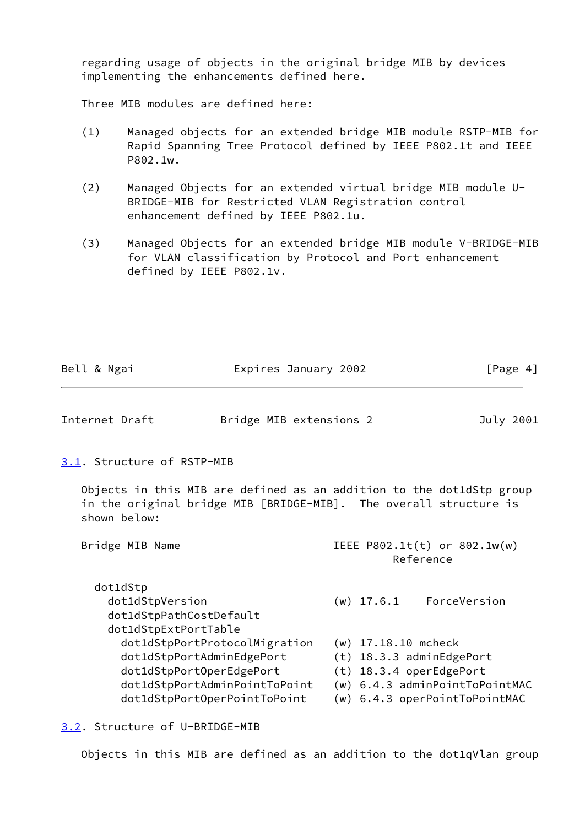regarding usage of objects in the original bridge MIB by devices implementing the enhancements defined here.

Three MIB modules are defined here:

- (1) Managed objects for an extended bridge MIB module RSTP-MIB for Rapid Spanning Tree Protocol defined by IEEE P802.1t and IEEE P802.1w.
- (2) Managed Objects for an extended virtual bridge MIB module U- BRIDGE-MIB for Restricted VLAN Registration control enhancement defined by IEEE P802.1u.
- (3) Managed Objects for an extended bridge MIB module V-BRIDGE-MIB for VLAN classification by Protocol and Port enhancement defined by IEEE P802.1v.

<span id="page-4-1"></span><span id="page-4-0"></span>

| Bell & Ngai                                                                    | Expires January 2002                                                                                                                                    |                                                                              | [Page $4$ ]                                                     |
|--------------------------------------------------------------------------------|---------------------------------------------------------------------------------------------------------------------------------------------------------|------------------------------------------------------------------------------|-----------------------------------------------------------------|
| Internet Draft                                                                 | Bridge MIB extensions 2                                                                                                                                 |                                                                              | July 2001                                                       |
| 3.1. Structure of RSTP-MIB                                                     |                                                                                                                                                         |                                                                              |                                                                 |
| shown below:                                                                   | Objects in this MIB are defined as an addition to the dot1dStp group<br>in the original bridge MIB [BRIDGE-MIB]. The overall structure is               |                                                                              |                                                                 |
| Bridge MIB Name                                                                |                                                                                                                                                         |                                                                              | IEEE $P802.1t(t)$ or $802.1w(w)$<br>Reference                   |
| dot1dStp<br>dot1dStpVersion<br>dot1dStpPathCostDefault<br>dot1dStpExtPortTable |                                                                                                                                                         |                                                                              | $(w)$ 17.6.1 ForceVersion                                       |
|                                                                                | dot1dStpPortProtocolMigration<br>dot1dStpPortAdminEdgePort<br>dot1dStpPortOperEdgePort<br>dot1dStpPortAdminPointToPoint<br>dot1dStpPortOperPointToPoint | $(w)$ 17.18.10 mcheck<br>(t) 18.3.3 adminEdgePort<br>(t) 18.3.4 operEdgePort | (w) 6.4.3 adminPointToPointMAC<br>(w) 6.4.3 operPointToPointMAC |

# <span id="page-4-2"></span>[3.2](#page-4-2). Structure of U-BRIDGE-MIB

Objects in this MIB are defined as an addition to the dot1qVlan group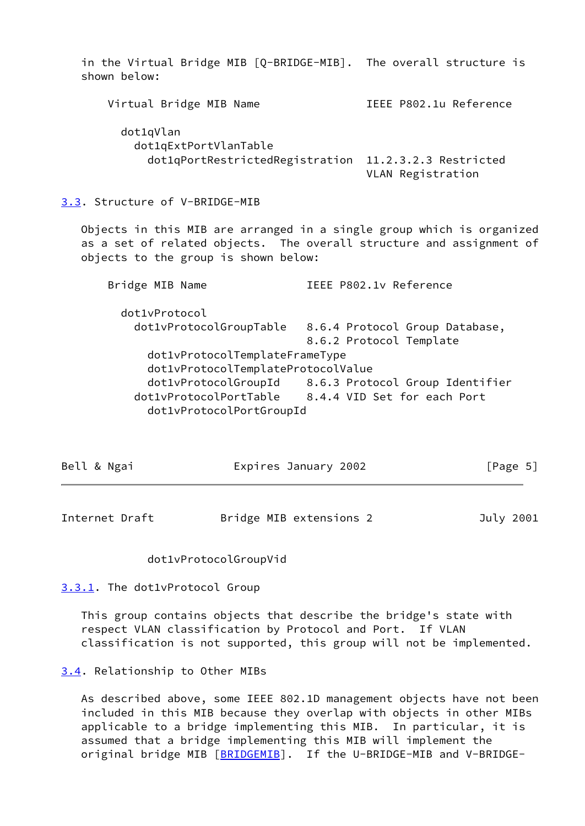<span id="page-5-0"></span> in the Virtual Bridge MIB [Q-BRIDGE-MIB]. The overall structure is shown below: Virtual Bridge MIB Name **IEEE P802.1u Reference**  dot1qVlan dot1qExtPortVlanTable dot1qPortRestrictedRegistration 11.2.3.2.3 Restricted VLAN Registration [3.3](#page-5-0). Structure of V-BRIDGE-MIB Objects in this MIB are arranged in a single group which is organized as a set of related objects. The overall structure and assignment of objects to the group is shown below: Bridge MIB Name IEEE P802.1v Reference dot1vProtocol dot1vProtocolGroupTable 8.6.4 Protocol Group Database, 8.6.2 Protocol Template dot1vProtocolTemplateFrameType dot1vProtocolTemplateProtocolValue dot1vProtocolGroupId 8.6.3 Protocol Group Identifier dot1vProtocolPortTable 8.4.4 VID Set for each Port

dot1vProtocolPortGroupId

| Bell & Ngai | Expires January 2002 | [Page 5] |
|-------------|----------------------|----------|
|             |                      |          |
|             |                      |          |

<span id="page-5-2"></span>Internet Draft Bridge MIB extensions 2 July 2001

#### dot1vProtocolGroupVid

#### <span id="page-5-1"></span>[3.3.1](#page-5-1). The dot1vProtocol Group

 This group contains objects that describe the bridge's state with respect VLAN classification by Protocol and Port. If VLAN classification is not supported, this group will not be implemented.

#### <span id="page-5-3"></span>[3.4](#page-5-3). Relationship to Other MIBs

 As described above, some IEEE 802.1D management objects have not been included in this MIB because they overlap with objects in other MIBs applicable to a bridge implementing this MIB. In particular, it is assumed that a bridge implementing this MIB will implement the original bridge MIB [\[BRIDGEMIB](#page-24-2)]. If the U-BRIDGE-MIB and V-BRIDGE-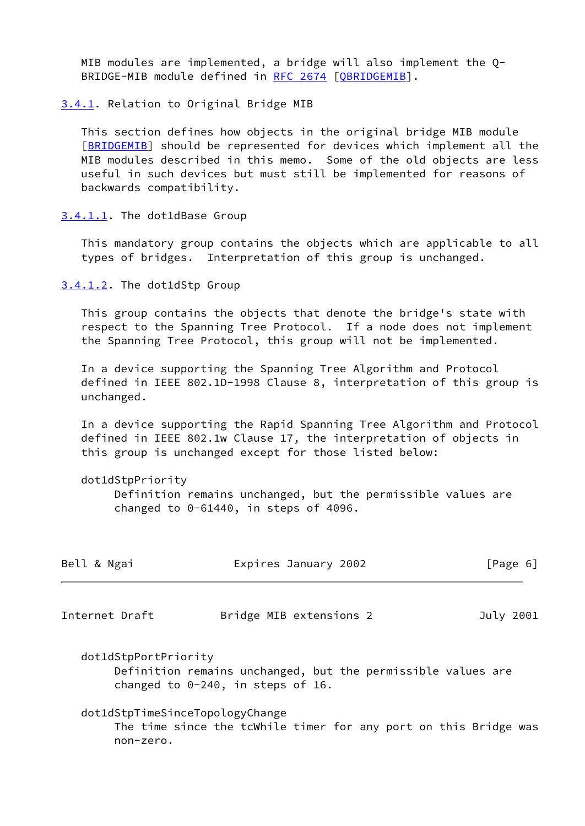MIB modules are implemented, a bridge will also implement the Q- BRIDGE-MIB module defined in [RFC 2674](https://datatracker.ietf.org/doc/pdf/rfc2674) [[QBRIDGEMIB\]](#page-24-5).

<span id="page-6-0"></span>[3.4.1](#page-6-0). Relation to Original Bridge MIB

 This section defines how objects in the original bridge MIB module [\[BRIDGEMIB](#page-24-2)] should be represented for devices which implement all the MIB modules described in this memo. Some of the old objects are less useful in such devices but must still be implemented for reasons of backwards compatibility.

<span id="page-6-1"></span>[3.4.1.1](#page-6-1). The dot1dBase Group

 This mandatory group contains the objects which are applicable to all types of bridges. Interpretation of this group is unchanged.

<span id="page-6-2"></span>[3.4.1.2](#page-6-2). The dot1dStp Group

 This group contains the objects that denote the bridge's state with respect to the Spanning Tree Protocol. If a node does not implement the Spanning Tree Protocol, this group will not be implemented.

 In a device supporting the Spanning Tree Algorithm and Protocol defined in IEEE 802.1D-1998 Clause 8, interpretation of this group is unchanged.

 In a device supporting the Rapid Spanning Tree Algorithm and Protocol defined in IEEE 802.1w Clause 17, the interpretation of objects in this group is unchanged except for those listed below:

dot1dStpPriority

 Definition remains unchanged, but the permissible values are changed to 0-61440, in steps of 4096.

<span id="page-6-3"></span>

| Bell & Ngai                                  | Expires January 2002                                                                                 | [Page 6]  |
|----------------------------------------------|------------------------------------------------------------------------------------------------------|-----------|
| Internet Draft                               | Bridge MIB extensions 2                                                                              | July 2001 |
| dot1dStpPortPriority                         | Definition remains unchanged, but the permissible values are<br>changed to $0-240$ , in steps of 16. |           |
| dot1dStpTimeSinceTopologyChange<br>non-zero. | The time since the tcWhile timer for any port on this Bridge was                                     |           |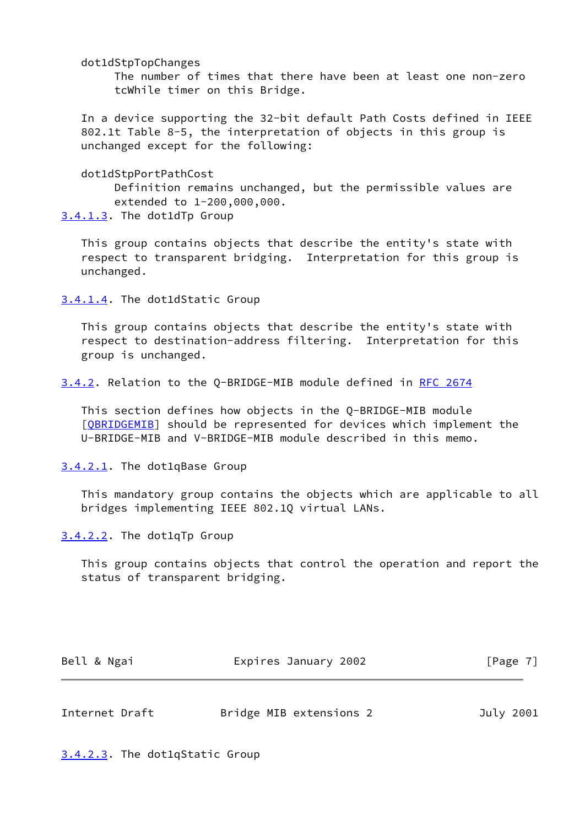dot1dStpTopChanges

 The number of times that there have been at least one non-zero tcWhile timer on this Bridge.

 In a device supporting the 32-bit default Path Costs defined in IEEE 802.1t Table 8-5, the interpretation of objects in this group is unchanged except for the following:

dot1dStpPortPathCost

 Definition remains unchanged, but the permissible values are extended to 1-200,000,000.

<span id="page-7-0"></span>[3.4.1.3](#page-7-0). The dot1dTp Group

 This group contains objects that describe the entity's state with respect to transparent bridging. Interpretation for this group is unchanged.

<span id="page-7-1"></span>[3.4.1.4](#page-7-1). The dot1dStatic Group

 This group contains objects that describe the entity's state with respect to destination-address filtering. Interpretation for this group is unchanged.

<span id="page-7-2"></span>[3.4.2](#page-7-2). Relation to the Q-BRIDGE-MIB module defined in [RFC 2674](https://datatracker.ietf.org/doc/pdf/rfc2674)

 This section defines how objects in the Q-BRIDGE-MIB module [OBRIDGEMIB] should be represented for devices which implement the U-BRIDGE-MIB and V-BRIDGE-MIB module described in this memo.

<span id="page-7-3"></span>[3.4.2.1](#page-7-3). The dot1qBase Group

 This mandatory group contains the objects which are applicable to all bridges implementing IEEE 802.1Q virtual LANs.

<span id="page-7-4"></span>[3.4.2.2](#page-7-4). The dot1qTp Group

 This group contains objects that control the operation and report the status of transparent bridging.

| Bell & Ngai | Expires January 2002 | [Page 7] |
|-------------|----------------------|----------|
|             |                      |          |

<span id="page-7-6"></span>

| Internet Draft | Bridge MIB extensions 2 | July 2001 |  |
|----------------|-------------------------|-----------|--|
|                |                         |           |  |

<span id="page-7-5"></span>[3.4.2.3](#page-7-5). The dot1qStatic Group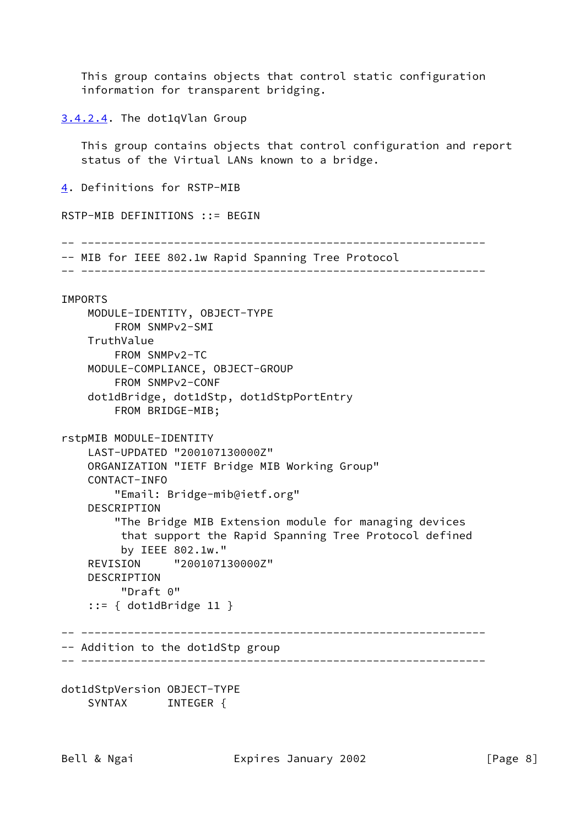This group contains objects that control static configuration information for transparent bridging.

<span id="page-8-0"></span>[3.4.2.4](#page-8-0). The dot1qVlan Group

 This group contains objects that control configuration and report status of the Virtual LANs known to a bridge.

<span id="page-8-1"></span>[4](#page-8-1). Definitions for RSTP-MIB

RSTP-MIB DEFINITIONS ::= BEGIN

-- -------------------------------------------------------------

-- MIB for IEEE 802.1w Rapid Spanning Tree Protocol

-- -------------------------------------------------------------

# IMPORTS MODULE-IDENTITY, OBJECT-TYPE FROM SNMPv2-SMI TruthValue FROM SNMPv2-TC MODULE-COMPLIANCE, OBJECT-GROUP FROM SNMPv2-CONF dot1dBridge, dot1dStp, dot1dStpPortEntry FROM BRIDGE-MIB; rstpMIB MODULE-IDENTITY LAST-UPDATED "200107130000Z" ORGANIZATION "IETF Bridge MIB Working Group" CONTACT-INFO "Email: Bridge-mib@ietf.org" DESCRIPTION "The Bridge MIB Extension module for managing devices that support the Rapid Spanning Tree Protocol defined by IEEE 802.1w." REVISION "200107130000Z" DESCRIPTION "Draft 0" ::= { dot1dBridge 11 } -- ------------------------------------------------------------- -- Addition to the dot1dStp group -- -------------------------------------------------------------

dot1dStpVersion OBJECT-TYPE SYNTAX INTEGER {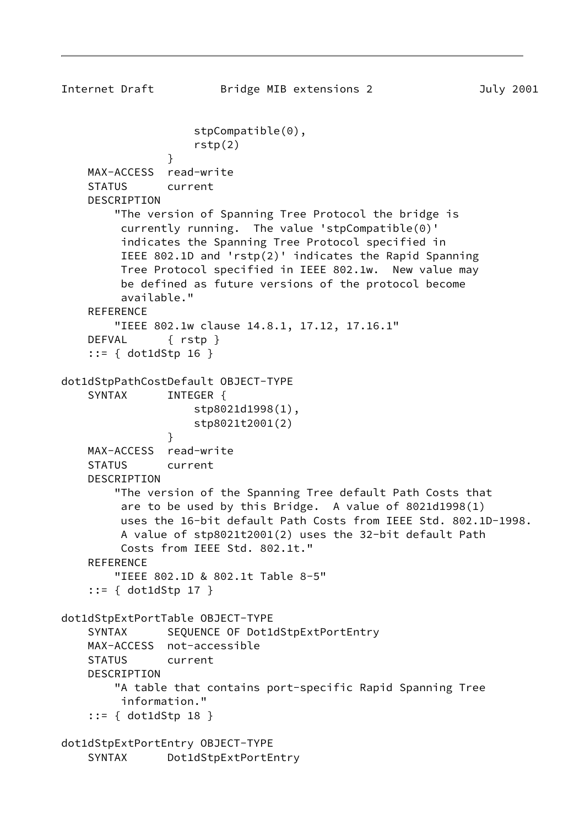```
Internet Draft Bridge MIB extensions 2 July 2001
                    stpCompatible(0),
                    rstp(2)
 }
    MAX-ACCESS read-write
     STATUS current
     DESCRIPTION
         "The version of Spanning Tree Protocol the bridge is
         currently running. The value 'stpCompatible(0)'
         indicates the Spanning Tree Protocol specified in
         IEEE 802.1D and 'rstp(2)' indicates the Rapid Spanning
         Tree Protocol specified in IEEE 802.1w. New value may
         be defined as future versions of the protocol become
         available."
    REFERENCE
        "IEEE 802.1w clause 14.8.1, 17.12, 17.16.1"
     DEFVAL { rstp }
     ::= { dot1dStp 16 }
dot1dStpPathCostDefault OBJECT-TYPE
    SYNTAX INTEGER {
                    stp8021d1998(1),
                    stp8021t2001(2)
 }
    MAX-ACCESS read-write
     STATUS current
     DESCRIPTION
         "The version of the Spanning Tree default Path Costs that
         are to be used by this Bridge. A value of 8021d1998(1)
         uses the 16-bit default Path Costs from IEEE Std. 802.1D-1998.
         A value of stp8021t2001(2) uses the 32-bit default Path
         Costs from IEEE Std. 802.1t."
     REFERENCE
         "IEEE 802.1D & 802.1t Table 8-5"
     ::= { dot1dStp 17 }
dot1dStpExtPortTable OBJECT-TYPE
     SYNTAX SEQUENCE OF Dot1dStpExtPortEntry
    MAX-ACCESS not-accessible
    STATUS current
     DESCRIPTION
         "A table that contains port-specific Rapid Spanning Tree
         information."
     ::= { dot1dStp 18 }
dot1dStpExtPortEntry OBJECT-TYPE
     SYNTAX Dot1dStpExtPortEntry
```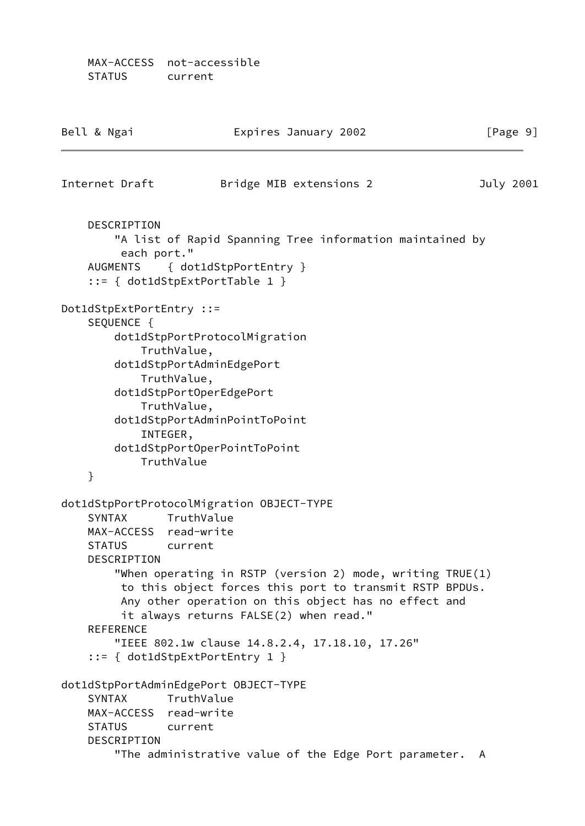MAX-ACCESS not-accessible STATUS current

| Bell & Ngai                                                       | Expires January 2002                                                                                                                                                                                                                                                                                                                                                                                          | [Page 9]     |
|-------------------------------------------------------------------|---------------------------------------------------------------------------------------------------------------------------------------------------------------------------------------------------------------------------------------------------------------------------------------------------------------------------------------------------------------------------------------------------------------|--------------|
| Internet Draft                                                    | Bridge MIB extensions 2                                                                                                                                                                                                                                                                                                                                                                                       | July 2001    |
| DESCRIPTION<br>each port."<br><b>AUGMENTS</b>                     | "A list of Rapid Spanning Tree information maintained by<br>{ dot1dStpPortEntry }<br>$::= \{ dot1dStepExtPortTable 1 \}$                                                                                                                                                                                                                                                                                      |              |
| Dot1dStpExtPortEntry ::=<br>SEQUENCE {<br>}                       | dot1dStpPortProtocolMigration<br>TruthValue,<br>dot1dStpPortAdminEdgePort<br>TruthValue,<br>dot1dStpPortOperEdgePort<br>TruthValue,<br>dot1dStpPortAdminPointToPoint<br>INTEGER,<br>dot1dStpPortOperPointToPoint<br>TruthValue                                                                                                                                                                                |              |
| <b>SYNTAX</b><br><b>STATUS</b><br>DESCRIPTION<br><b>REFERENCE</b> | dot1dStpPortProtocolMigration OBJECT-TYPE<br>TruthValue<br>MAX-ACCESS read-write<br>current<br>"When operating in RSTP (version 2) mode, writing TRUE(1)<br>to this object forces this port to transmit RSTP BPDUs.<br>Any other operation on this object has no effect and<br>it always returns FALSE(2) when read."<br>"IEEE 802.1w clause 14.8.2.4, 17.18.10, 17.26"<br>$::= \{ dot1dStpExtPortEntry 1 \}$ |              |
| <b>SYNTAX</b><br><b>STATUS</b><br>DESCRIPTION                     | dot1dStpPortAdminEdgePort OBJECT-TYPE<br>TruthValue<br>MAX-ACCESS read-write<br>current<br>"The administrative value of the Edge Port parameter.                                                                                                                                                                                                                                                              | $\mathsf{A}$ |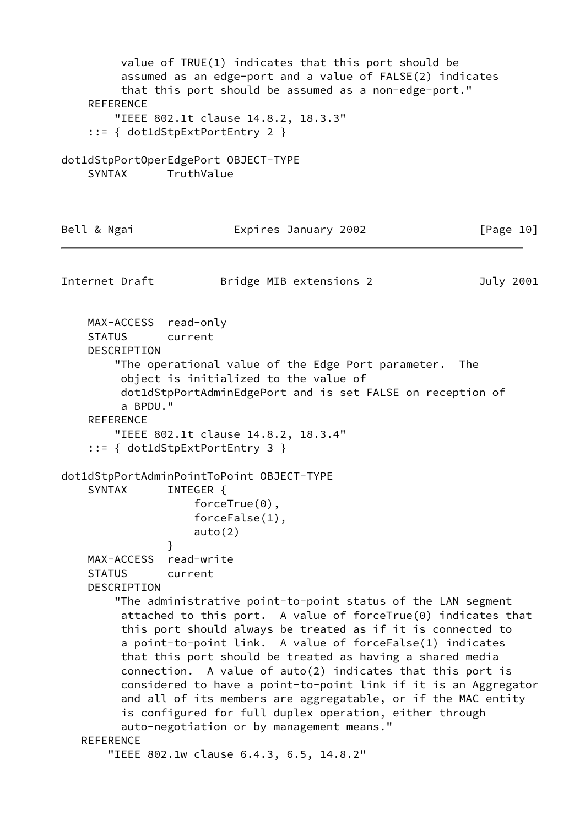value of TRUE(1) indicates that this port should be assumed as an edge-port and a value of FALSE(2) indicates that this port should be assumed as a non-edge-port." **REFERENCE**  "IEEE 802.1t clause 14.8.2, 18.3.3" ::= { dot1dStpExtPortEntry 2 } dot1dStpPortOperEdgePort OBJECT-TYPE SYNTAX TruthValue Bell & Ngai **Expires January 2002** [Page 10] Internet Draft Bridge MIB extensions 2 July 2001 MAX-ACCESS read-only STATUS current DESCRIPTION "The operational value of the Edge Port parameter. The object is initialized to the value of dot1dStpPortAdminEdgePort and is set FALSE on reception of a BPDU." REFERENCE "IEEE 802.1t clause 14.8.2, 18.3.4" ::= { dot1dStpExtPortEntry 3 } dot1dStpPortAdminPointToPoint OBJECT-TYPE SYNTAX INTEGER { forceTrue(0), forceFalse(1), auto(2) } MAX-ACCESS read-write STATUS current DESCRIPTION "The administrative point-to-point status of the LAN segment attached to this port. A value of forceTrue(0) indicates that this port should always be treated as if it is connected to a point-to-point link. A value of forceFalse(1) indicates that this port should be treated as having a shared media connection. A value of auto(2) indicates that this port is considered to have a point-to-point link if it is an Aggregator and all of its members are aggregatable, or if the MAC entity is configured for full duplex operation, either through auto-negotiation or by management means." **REFERENCE** "IEEE 802.1w clause 6.4.3, 6.5, 14.8.2"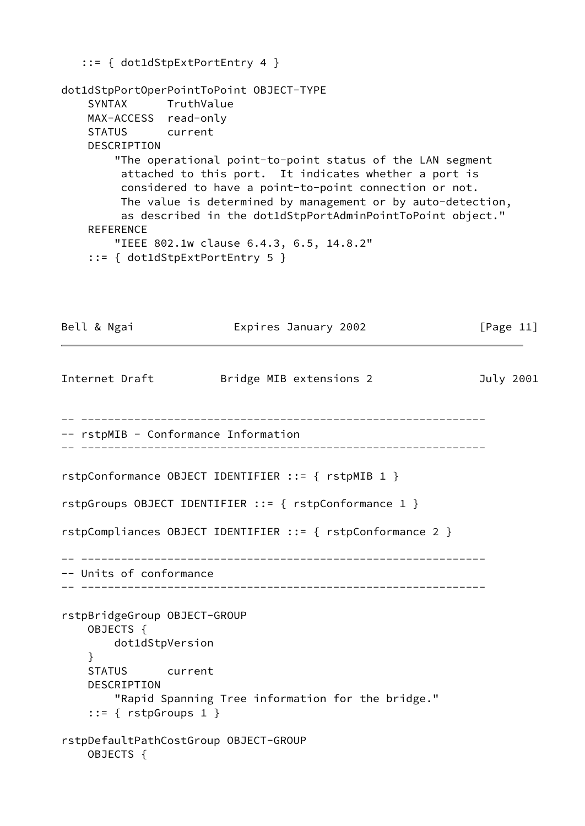```
 ::= { dot1dStpExtPortEntry 4 }
dot1dStpPortOperPointToPoint OBJECT-TYPE
     SYNTAX TruthValue
    MAX-ACCESS read-only
    STATUS current
     DESCRIPTION
         "The operational point-to-point status of the LAN segment
         attached to this port. It indicates whether a port is
         considered to have a point-to-point connection or not.
         The value is determined by management or by auto-detection,
         as described in the dot1dStpPortAdminPointToPoint object."
    REFERENCE
        "IEEE 802.1w clause 6.4.3, 6.5, 14.8.2"
     ::= { dot1dStpExtPortEntry 5 }
Bell & Ngai Expires January 2002 [Page 11]
Internet Draft Bridge MIB extensions 2 3uly 2001
-- -------------------------------------------------------------
-- rstpMIB - Conformance Information
-- -------------------------------------------------------------
rstpConformance OBJECT IDENTIFIER ::= { rstpMIB 1 }
rstpGroups OBJECT IDENTIFIER ::= { rstpConformance 1 }
rstpCompliances OBJECT IDENTIFIER ::= { rstpConformance 2 }
-- -------------------------------------------------------------
-- Units of conformance
-- -------------------------------------------------------------
rstpBridgeGroup OBJECT-GROUP
    OBJECTS {
        dot1dStpVersion
    }
    STATUS current
    DESCRIPTION
        "Rapid Spanning Tree information for the bridge."
     ::= { rstpGroups 1 }
rstpDefaultPathCostGroup OBJECT-GROUP
    OBJECTS {
```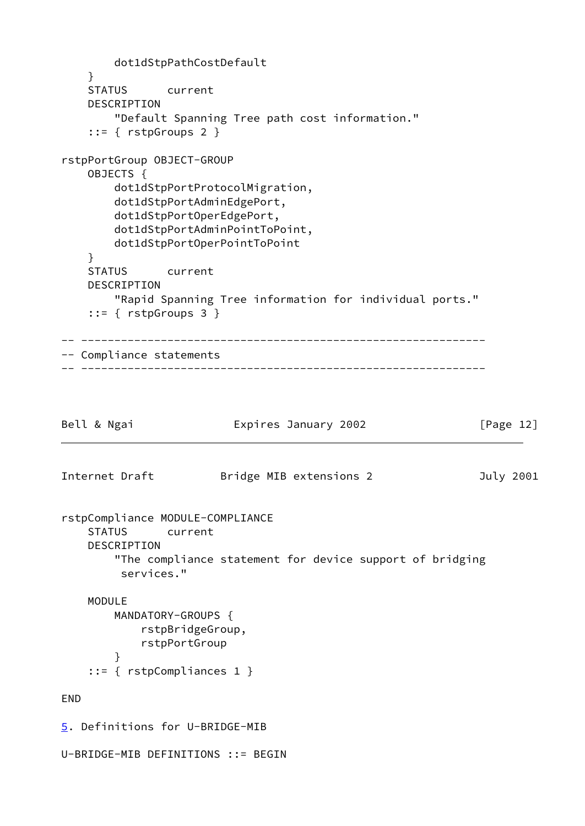```
 dot1dStpPathCostDefault
    }
    STATUS current
     DESCRIPTION
        "Default Spanning Tree path cost information."
     ::= { rstpGroups 2 }
rstpPortGroup OBJECT-GROUP
    OBJECTS {
        dot1dStpPortProtocolMigration,
        dot1dStpPortAdminEdgePort,
        dot1dStpPortOperEdgePort,
        dot1dStpPortAdminPointToPoint,
        dot1dStpPortOperPointToPoint
     }
    STATUS current
     DESCRIPTION
        "Rapid Spanning Tree information for individual ports."
     ::= { rstpGroups 3 }
-- -------------------------------------------------------------
-- Compliance statements
-- -------------------------------------------------------------
Bell & Ngai Expires January 2002 [Page 12]
Internet Draft Bridge MIB extensions 2 July 2001
rstpCompliance MODULE-COMPLIANCE
     STATUS current
     DESCRIPTION
        "The compliance statement for device support of bridging
         services."
    MODULE
        MANDATORY-GROUPS {
            rstpBridgeGroup,
            rstpPortGroup
 }
     ::= { rstpCompliances 1 }
END
5. Definitions for U-BRIDGE-MIB
U-BRIDGE-MIB DEFINITIONS ::= BEGIN
```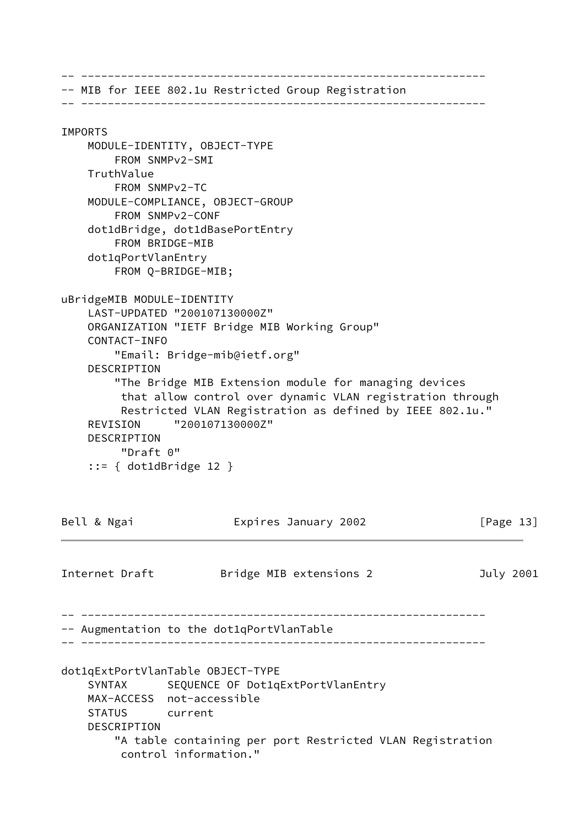-- ------------------------------------------------------------- -- MIB for IEEE 802.1u Restricted Group Registration -- ------------------------------------------------------------- IMPORTS MODULE-IDENTITY, OBJECT-TYPE FROM SNMPv2-SMI TruthValue FROM SNMPv2-TC MODULE-COMPLIANCE, OBJECT-GROUP FROM SNMPv2-CONF dot1dBridge, dot1dBasePortEntry FROM BRIDGE-MIB dot1qPortVlanEntry FROM Q-BRIDGE-MIB; uBridgeMIB MODULE-IDENTITY LAST-UPDATED "200107130000Z" ORGANIZATION "IETF Bridge MIB Working Group" CONTACT-INFO "Email: Bridge-mib@ietf.org" DESCRIPTION "The Bridge MIB Extension module for managing devices that allow control over dynamic VLAN registration through Restricted VLAN Registration as defined by IEEE 802.1u." REVISION "200107130000Z" DESCRIPTION "Draft 0" ::= { dot1dBridge 12 } Bell & Ngai **Expires January 2002** [Page 13] Internet Draft Bridge MIB extensions 2 3uly 2001 -- ------------------------------------------------------------- -- Augmentation to the dot1qPortVlanTable -- ------------------------------------------------------------ dot1qExtPortVlanTable OBJECT-TYPE SYNTAX SEQUENCE OF Dot1qExtPortVlanEntry MAX-ACCESS not-accessible STATUS current DESCRIPTION "A table containing per port Restricted VLAN Registration control information."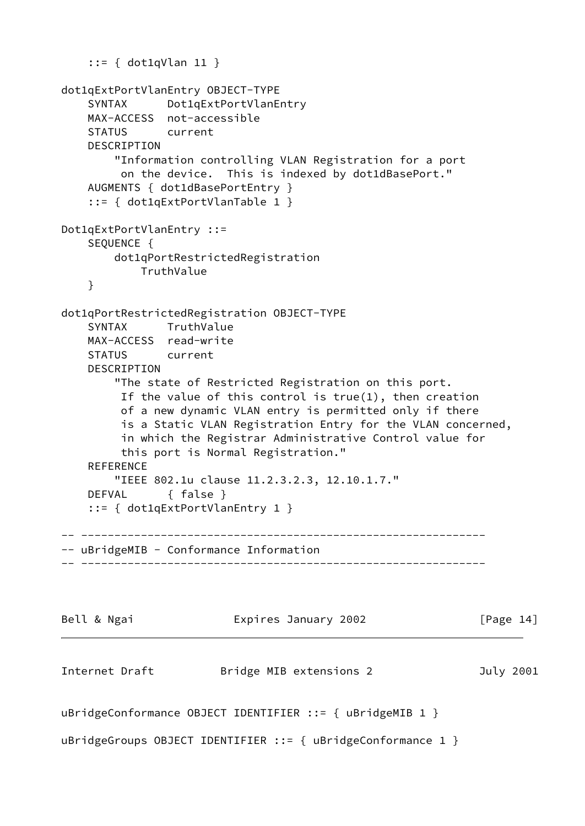```
 ::= { dot1qVlan 11 }
dot1qExtPortVlanEntry OBJECT-TYPE
     SYNTAX Dot1qExtPortVlanEntry
    MAX-ACCESS not-accessible
    STATUS current
    DESCRIPTION
         "Information controlling VLAN Registration for a port
         on the device. This is indexed by dot1dBasePort."
    AUGMENTS { dot1dBasePortEntry }
     ::= { dot1qExtPortVlanTable 1 }
Dot1qExtPortVlanEntry ::=
     SEQUENCE {
        dot1qPortRestrictedRegistration
            TruthValue
    }
dot1qPortRestrictedRegistration OBJECT-TYPE
     SYNTAX TruthValue
    MAX-ACCESS read-write
     STATUS current
    DESCRIPTION
         "The state of Restricted Registration on this port.
         If the value of this control is true(1), then creation
         of a new dynamic VLAN entry is permitted only if there
         is a Static VLAN Registration Entry for the VLAN concerned,
         in which the Registrar Administrative Control value for
         this port is Normal Registration."
     REFERENCE
        "IEEE 802.1u clause 11.2.3.2.3, 12.10.1.7."
     DEFVAL { false }
     ::= { dot1qExtPortVlanEntry 1 }
 -- -------------------------------------------------------------
-- uBridgeMIB - Conformance Information
-- -------------------------------------------------------------
Bell & Ngai Expires January 2002 [Page 14]
Internet Draft Bridge MIB extensions 2 3uly 2001
uBridgeConformance OBJECT IDENTIFIER ::= { uBridgeMIB 1 }
uBridgeGroups OBJECT IDENTIFIER ::= { uBridgeConformance 1 }
```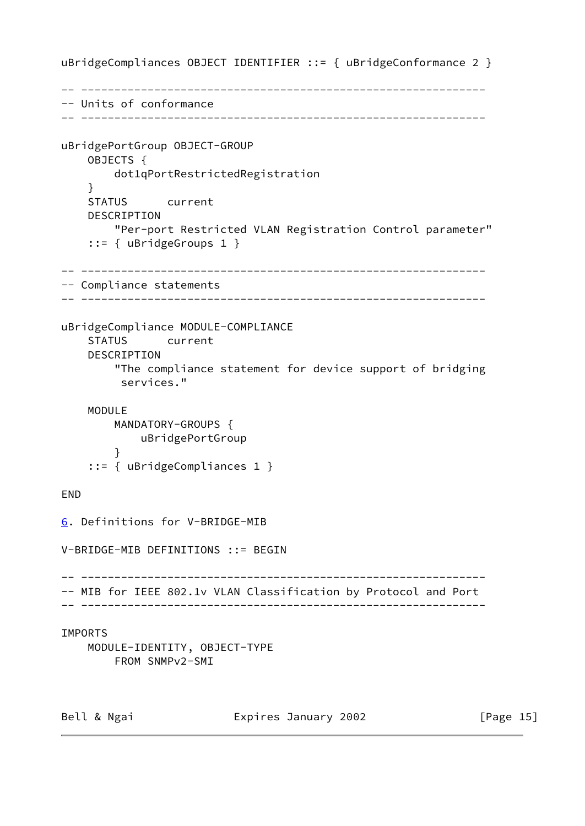uBridgeCompliances OBJECT IDENTIFIER ::= { uBridgeConformance 2 } -- ------------------------------------------------------------- -- Units of conformance -- ------------------------------------------------------------ uBridgePortGroup OBJECT-GROUP OBJECTS { dot1qPortRestrictedRegistration } STATUS current DESCRIPTION "Per-port Restricted VLAN Registration Control parameter" ::= { uBridgeGroups 1 } -- ------------------------------------------------------------- -- Compliance statements -- ------------------------------------------------------------ uBridgeCompliance MODULE-COMPLIANCE STATUS current DESCRIPTION "The compliance statement for device support of bridging services." MODULE MANDATORY-GROUPS { uBridgePortGroup } ::= { uBridgeCompliances 1 } END [6](#page-16-0). Definitions for V-BRIDGE-MIB V-BRIDGE-MIB DEFINITIONS ::= BEGIN -- ------------------------------------------------------------- -- MIB for IEEE 802.1v VLAN Classification by Protocol and Port -- ------------------------------------------------------------- IMPORTS MODULE-IDENTITY, OBJECT-TYPE FROM SNMPv2-SMI

<span id="page-16-0"></span>Bell & Ngai **Expires January 2002** [Page 15]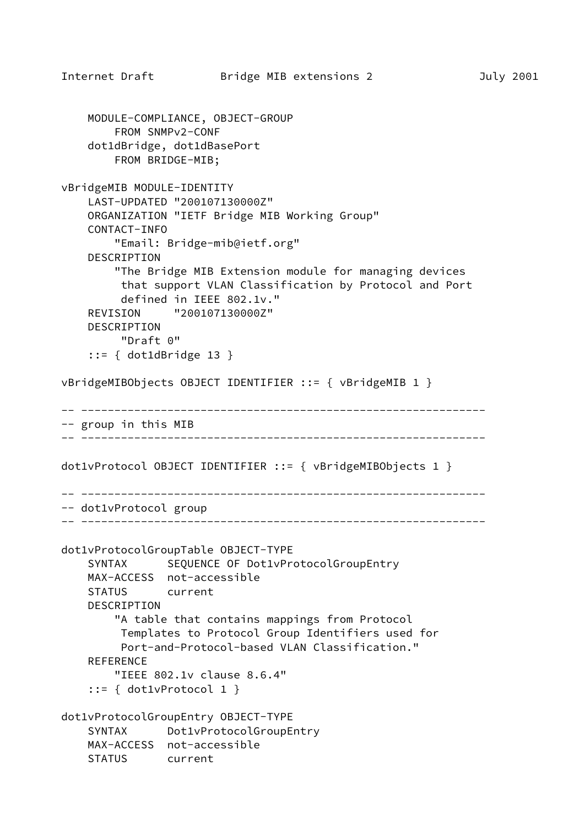```
 MODULE-COMPLIANCE, OBJECT-GROUP
         FROM SNMPv2-CONF
     dot1dBridge, dot1dBasePort
         FROM BRIDGE-MIB;
vBridgeMIB MODULE-IDENTITY
     LAST-UPDATED "200107130000Z"
     ORGANIZATION "IETF Bridge MIB Working Group"
     CONTACT-INFO
         "Email: Bridge-mib@ietf.org"
     DESCRIPTION
         "The Bridge MIB Extension module for managing devices
          that support VLAN Classification by Protocol and Port
          defined in IEEE 802.1v."
     REVISION "200107130000Z"
     DESCRIPTION
          "Draft 0"
     ::= { dot1dBridge 13 }
vBridgeMIBObjects OBJECT IDENTIFIER ::= { vBridgeMIB 1 }
-- -------------------------------------------------------------
-- group in this MIB
-- -------------------------------------------------------------
dot1vProtocol OBJECT IDENTIFIER ::= { vBridgeMIBObjects 1 }
      -- -------------------------------------------------------------
-- dot1vProtocol group
-- -------------------------------------------------------------
dot1vProtocolGroupTable OBJECT-TYPE
    SYNTAX SEQUENCE OF Dot1vProtocolGroupEntry
     MAX-ACCESS not-accessible
     STATUS current
     DESCRIPTION
         "A table that contains mappings from Protocol
          Templates to Protocol Group Identifiers used for
          Port-and-Protocol-based VLAN Classification."
    REFERENCE
         "IEEE 802.1v clause 8.6.4"
     ::= { dot1vProtocol 1 }
dot1vProtocolGroupEntry OBJECT-TYPE
     SYNTAX Dot1vProtocolGroupEntry
     MAX-ACCESS not-accessible
     STATUS current
```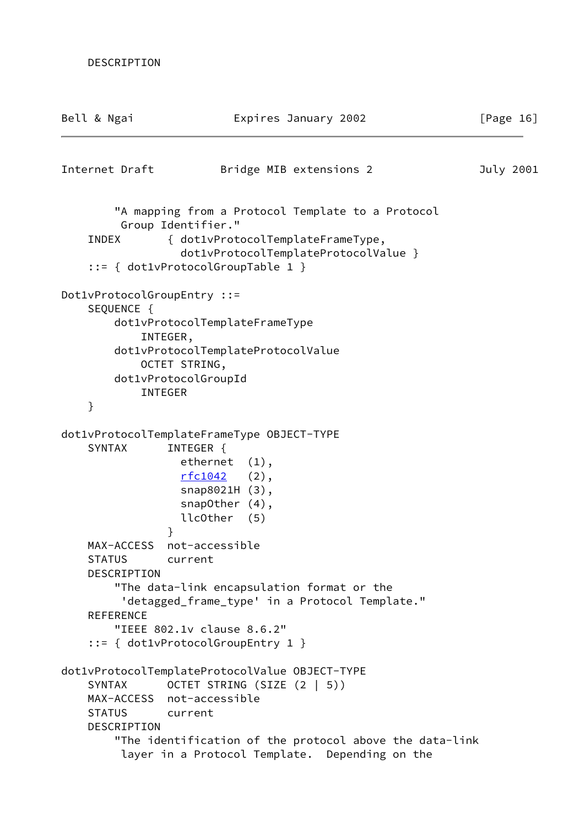| Bell & Ngai                                                                  | Expires January 2002                                                                                                                                                                                  | [Page $16$ ] |
|------------------------------------------------------------------------------|-------------------------------------------------------------------------------------------------------------------------------------------------------------------------------------------------------|--------------|
| Internet Draft                                                               | Bridge MIB extensions 2                                                                                                                                                                               | July 2001    |
| <b>INDEX</b>                                                                 | "A mapping from a Protocol Template to a Protocol<br>Group Identifier."<br>{ dot1vProtocolTemplateFrameType,<br>dot1vProtocolTemplateProtocolValue }<br>$::= \{ dot1vProtocolGroupTable 1 \}$         |              |
| Dot1vProtocolGroupEntry ::=<br>SEQUENCE {<br>INTEGER,<br><b>INTEGER</b><br>} | dot1vProtocolTemplateFrameType<br>dot1vProtocolTemplateProtocolValue<br>OCTET STRING,<br>dot1vProtocolGroupId                                                                                         |              |
| <b>SYNTAX</b>                                                                | dot1vProtocolTemplateFrameType OBJECT-TYPE<br>INTEGER {<br>ethernet (1),<br><u>rfc1042</u><br>$(2)$ ,<br>snap8021H (3),<br>snapOther $(4)$ ,<br>llcOther (5)                                          |              |
| }<br>MAX-ACCESS<br><b>STATUS</b><br>DESCRIPTION<br><b>REFERENCE</b>          | not-accessible<br>current<br>"The data-link encapsulation format or the<br>'detagged_frame_type' in a Protocol Template."<br>"IEEE 802.1v clause 8.6.2"<br>$::= \{ dot1vProtocolGroupEntry 1 \}$      |              |
| <b>SYNTAX</b><br>MAX-ACCESS not-accessible<br><b>STATUS</b><br>DESCRIPTION   | dot1vProtocolTemplateProtocolValue OBJECT-TYPE<br>OCTET STRING (SIZE (2   5))<br>current<br>"The identification of the protocol above the data-link<br>layer in a Protocol Template. Depending on the |              |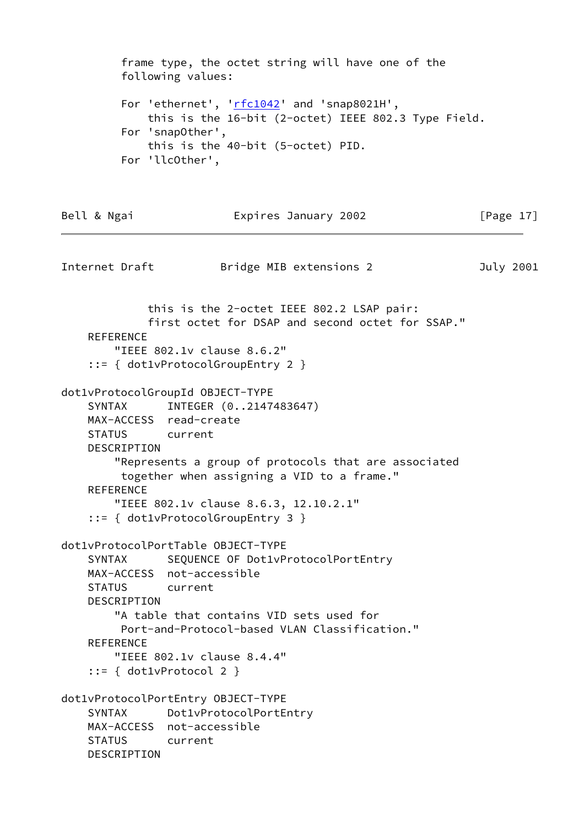frame type, the octet string will have one of the following values: For 'ethernet', '[rfc1042](https://datatracker.ietf.org/doc/pdf/rfc1042)' and 'snap8021H', this is the 16-bit (2-octet) IEEE 802.3 Type Field. For 'snapOther', this is the 40-bit (5-octet) PID. For 'llcOther', Bell & Ngai **Expires January 2002** [Page 17] Internet Draft **Bridge MIB extensions 2** July 2001 this is the 2-octet IEEE 802.2 LSAP pair: first octet for DSAP and second octet for SSAP." REFERENCE "IEEE 802.1v clause 8.6.2" ::= { dot1vProtocolGroupEntry 2 } dot1vProtocolGroupId OBJECT-TYPE SYNTAX INTEGER (0..2147483647) MAX-ACCESS read-create STATUS current DESCRIPTION "Represents a group of protocols that are associated together when assigning a VID to a frame." REFERENCE "IEEE 802.1v clause 8.6.3, 12.10.2.1" ::= { dot1vProtocolGroupEntry 3 } dot1vProtocolPortTable OBJECT-TYPE SYNTAX SEQUENCE OF Dot1vProtocolPortEntry MAX-ACCESS not-accessible STATUS current DESCRIPTION "A table that contains VID sets used for Port-and-Protocol-based VLAN Classification." REFERENCE "IEEE 802.1v clause 8.4.4" ::= { dot1vProtocol 2 } dot1vProtocolPortEntry OBJECT-TYPE SYNTAX Dot1vProtocolPortEntry MAX-ACCESS not-accessible STATUS current DESCRIPTION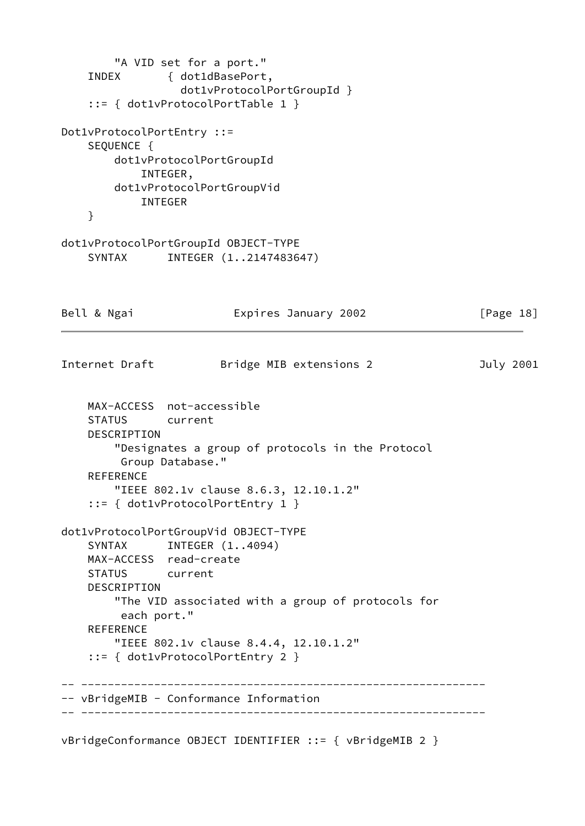```
 "A VID set for a port."
    INDEX { dot1dBasePort,
                  dot1vProtocolPortGroupId }
    ::= { dot1vProtocolPortTable 1 }
Dot1vProtocolPortEntry ::=
   SEOUENCE {
        dot1vProtocolPortGroupId
            INTEGER,
        dot1vProtocolPortGroupVid
            INTEGER
    }
dot1vProtocolPortGroupId OBJECT-TYPE
    SYNTAX INTEGER (1..2147483647)
Bell & Ngai Expires January 2002 [Page 18]
Internet Draft Bridge MIB extensions 2 3uly 2001
    MAX-ACCESS not-accessible
    STATUS current
    DESCRIPTION
        "Designates a group of protocols in the Protocol
         Group Database."
    REFERENCE
        "IEEE 802.1v clause 8.6.3, 12.10.1.2"
     ::= { dot1vProtocolPortEntry 1 }
dot1vProtocolPortGroupVid OBJECT-TYPE
   SYNTAX INTEGER (1..4094) MAX-ACCESS read-create
    STATUS current
    DESCRIPTION
        "The VID associated with a group of protocols for
         each port."
    REFERENCE
        "IEEE 802.1v clause 8.4.4, 12.10.1.2"
     ::= { dot1vProtocolPortEntry 2 }
    -- -------------------------------------------------------------
-- vBridgeMIB - Conformance Information
-- -------------------------------------------------------------
```
vBridgeConformance OBJECT IDENTIFIER ::= { vBridgeMIB 2 }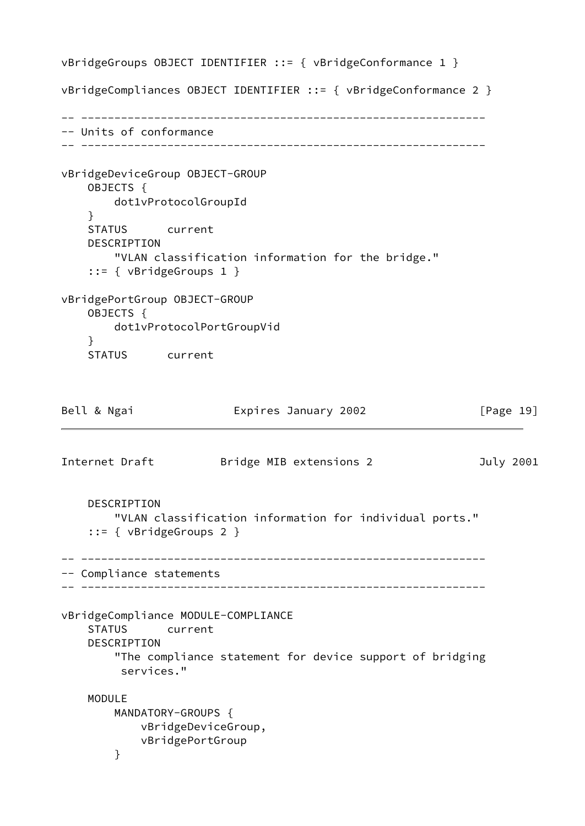<span id="page-21-0"></span>vBridgeGroups OBJECT IDENTIFIER ::= { vBridgeConformance 1 } vBridgeCompliances OBJECT IDENTIFIER ::= { vBridgeConformance 2 } -- ------------------------------------------------------------- -- Units of conformance -- ------------------------------------------------------------ vBridgeDeviceGroup OBJECT-GROUP OBJECTS { dot1vProtocolGroupId } STATUS current DESCRIPTION "VLAN classification information for the bridge." ::= { vBridgeGroups 1 } vBridgePortGroup OBJECT-GROUP OBJECTS { dot1vProtocolPortGroupVid } STATUS current Bell & Ngai **Expires January 2002** [Page 19] Internet Draft Bridge MIB extensions 2 July 2001 DESCRIPTION "VLAN classification information for individual ports." ::= { vBridgeGroups 2 } -- ------------------------------------------------------------- -- Compliance statements -- ------------------------------------------------------------ vBridgeCompliance MODULE-COMPLIANCE STATUS current DESCRIPTION "The compliance statement for device support of bridging services." MODULE MANDATORY-GROUPS { vBridgeDeviceGroup, vBridgePortGroup }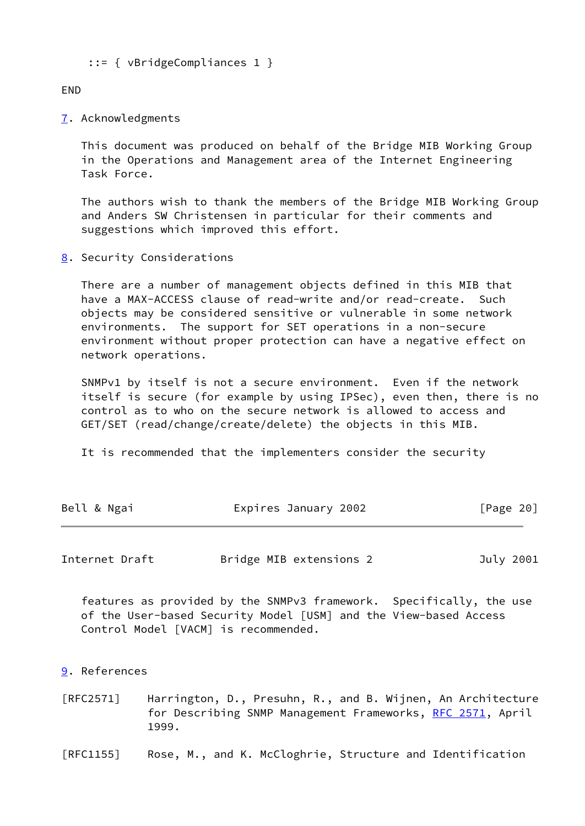```
 ::= { vBridgeCompliances 1 }
```
END

<span id="page-22-0"></span>[7](#page-22-0). Acknowledgments

 This document was produced on behalf of the Bridge MIB Working Group in the Operations and Management area of the Internet Engineering Task Force.

 The authors wish to thank the members of the Bridge MIB Working Group and Anders SW Christensen in particular for their comments and suggestions which improved this effort.

<span id="page-22-1"></span>[8](#page-22-1). Security Considerations

 There are a number of management objects defined in this MIB that have a MAX-ACCESS clause of read-write and/or read-create. Such objects may be considered sensitive or vulnerable in some network environments. The support for SET operations in a non-secure environment without proper protection can have a negative effect on network operations.

 SNMPv1 by itself is not a secure environment. Even if the network itself is secure (for example by using IPSec), even then, there is no control as to who on the secure network is allowed to access and GET/SET (read/change/create/delete) the objects in this MIB.

It is recommended that the implementers consider the security

| Bell & Ngai | Expires January 2002 | [Page 20] |
|-------------|----------------------|-----------|
|-------------|----------------------|-----------|

<span id="page-22-3"></span>Internet Draft **Bridge MIB extensions 2** July 2001

 features as provided by the SNMPv3 framework. Specifically, the use of the User-based Security Model [USM] and the View-based Access Control Model [VACM] is recommended.

<span id="page-22-2"></span>[9](#page-22-2). References

[RFC2571] Harrington, D., Presuhn, R., and B. Wijnen, An Architecture for Describing SNMP Management Frameworks, [RFC 2571](https://datatracker.ietf.org/doc/pdf/rfc2571), April 1999.

[RFC1155] Rose, M., and K. McCloghrie, Structure and Identification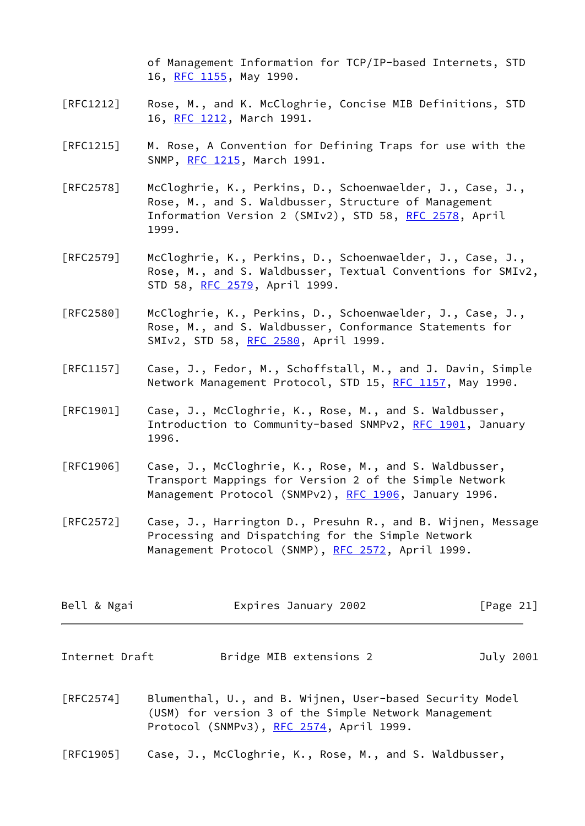of Management Information for TCP/IP-based Internets, STD 16, [RFC 1155](https://datatracker.ietf.org/doc/pdf/rfc1155), May 1990.

- [RFC1212] Rose, M., and K. McCloghrie, Concise MIB Definitions, STD 16, [RFC 1212](https://datatracker.ietf.org/doc/pdf/rfc1212), March 1991.
- [RFC1215] M. Rose, A Convention for Defining Traps for use with the SNMP, [RFC 1215](https://datatracker.ietf.org/doc/pdf/rfc1215), March 1991.
- [RFC2578] McCloghrie, K., Perkins, D., Schoenwaelder, J., Case, J., Rose, M., and S. Waldbusser, Structure of Management Information Version 2 (SMIv2), STD 58, [RFC 2578](https://datatracker.ietf.org/doc/pdf/rfc2578), April 1999.
- [RFC2579] McCloghrie, K., Perkins, D., Schoenwaelder, J., Case, J., Rose, M., and S. Waldbusser, Textual Conventions for SMIv2, STD 58, [RFC 2579](https://datatracker.ietf.org/doc/pdf/rfc2579), April 1999.
- [RFC2580] McCloghrie, K., Perkins, D., Schoenwaelder, J., Case, J., Rose, M., and S. Waldbusser, Conformance Statements for SMIv2, STD 58, [RFC 2580](https://datatracker.ietf.org/doc/pdf/rfc2580), April 1999.
- [RFC1157] Case, J., Fedor, M., Schoffstall, M., and J. Davin, Simple Network Management Protocol, STD 15, [RFC 1157,](https://datatracker.ietf.org/doc/pdf/rfc1157) May 1990.
- [RFC1901] Case, J., McCloghrie, K., Rose, M., and S. Waldbusser, Introduction to Community-based SNMPv2, [RFC 1901](https://datatracker.ietf.org/doc/pdf/rfc1901), January 1996.
- [RFC1906] Case, J., McCloghrie, K., Rose, M., and S. Waldbusser, Transport Mappings for Version 2 of the Simple Network Management Protocol (SNMPv2), [RFC 1906](https://datatracker.ietf.org/doc/pdf/rfc1906), January 1996.
- [RFC2572] Case, J., Harrington D., Presuhn R., and B. Wijnen, Message Processing and Dispatching for the Simple Network Management Protocol (SNMP), [RFC 2572](https://datatracker.ietf.org/doc/pdf/rfc2572), April 1999.

| Bell & Ngai    | Expires January 2002    | [Page 21] |
|----------------|-------------------------|-----------|
| Internet Draft | Bridge MIB extensions 2 | July 2001 |

- [RFC2574] Blumenthal, U., and B. Wijnen, User-based Security Model (USM) for version 3 of the Simple Network Management Protocol (SNMPv3), [RFC 2574](https://datatracker.ietf.org/doc/pdf/rfc2574), April 1999.
- [RFC1905] Case, J., McCloghrie, K., Rose, M., and S. Waldbusser,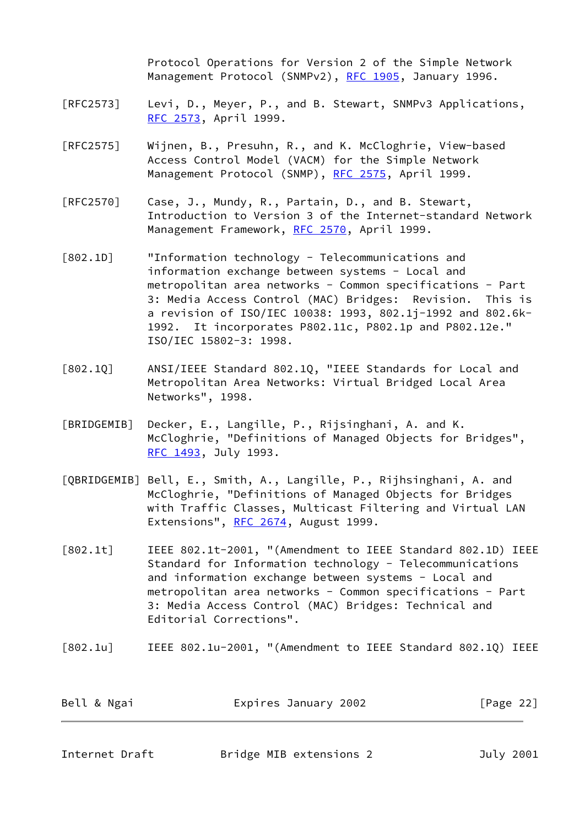Protocol Operations for Version 2 of the Simple Network Management Protocol (SNMPv2), [RFC 1905](https://datatracker.ietf.org/doc/pdf/rfc1905), January 1996.

- [RFC2573] Levi, D., Meyer, P., and B. Stewart, SNMPv3 Applications, [RFC 2573](https://datatracker.ietf.org/doc/pdf/rfc2573), April 1999.
- [RFC2575] Wijnen, B., Presuhn, R., and K. McCloghrie, View-based Access Control Model (VACM) for the Simple Network Management Protocol (SNMP), [RFC 2575](https://datatracker.ietf.org/doc/pdf/rfc2575), April 1999.
- [RFC2570] Case, J., Mundy, R., Partain, D., and B. Stewart, Introduction to Version 3 of the Internet-standard Network Management Framework, [RFC 2570](https://datatracker.ietf.org/doc/pdf/rfc2570), April 1999.
- <span id="page-24-4"></span>[802.1D] "Information technology - Telecommunications and information exchange between systems - Local and metropolitan area networks - Common specifications - Part 3: Media Access Control (MAC) Bridges: Revision. This is a revision of ISO/IEC 10038: 1993, 802.1j-1992 and 802.6k- 1992. It incorporates P802.11c, P802.1p and P802.12e." ISO/IEC 15802-3: 1998.
- [802.1Q] ANSI/IEEE Standard 802.1Q, "IEEE Standards for Local and Metropolitan Area Networks: Virtual Bridged Local Area Networks", 1998.
- <span id="page-24-2"></span>[BRIDGEMIB] Decker, E., Langille, P., Rijsinghani, A. and K. McCloghrie, "Definitions of Managed Objects for Bridges", [RFC 1493](https://datatracker.ietf.org/doc/pdf/rfc1493), July 1993.
- <span id="page-24-5"></span>[QBRIDGEMIB] Bell, E., Smith, A., Langille, P., Rijhsinghani, A. and McCloghrie, "Definitions of Managed Objects for Bridges with Traffic Classes, Multicast Filtering and Virtual LAN Extensions", [RFC 2674,](https://datatracker.ietf.org/doc/pdf/rfc2674) August 1999.
- <span id="page-24-0"></span>[802.1t] IEEE 802.1t-2001, "(Amendment to IEEE Standard 802.1D) IEEE Standard for Information technology - Telecommunications and information exchange between systems - Local and metropolitan area networks - Common specifications - Part 3: Media Access Control (MAC) Bridges: Technical and Editorial Corrections".
- <span id="page-24-1"></span>[802.1u] IEEE 802.1u-2001, "(Amendment to IEEE Standard 802.1Q) IEEE

| Bell & Ngai | Expires January 2002 | [Page 22] |
|-------------|----------------------|-----------|
|             |                      |           |

<span id="page-24-3"></span>Internet Draft **Bridge MIB extensions 2** July 2001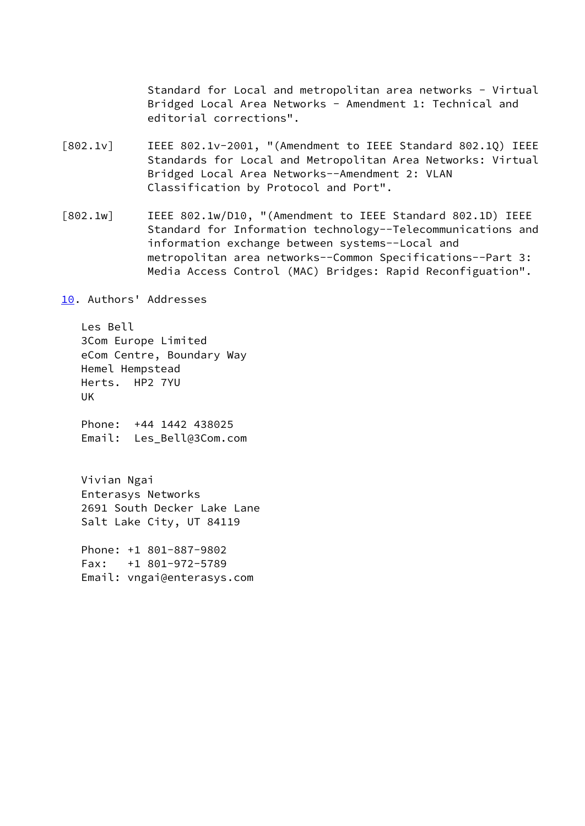Standard for Local and metropolitan area networks - Virtual Bridged Local Area Networks - Amendment 1: Technical and editorial corrections".

- <span id="page-25-0"></span>[802.1v] IEEE 802.1v-2001, "(Amendment to IEEE Standard 802.1Q) IEEE Standards for Local and Metropolitan Area Networks: Virtual Bridged Local Area Networks--Amendment 2: VLAN Classification by Protocol and Port".
- <span id="page-25-1"></span>[802.1w] IEEE 802.1w/D10, "(Amendment to IEEE Standard 802.1D) IEEE Standard for Information technology--Telecommunications and information exchange between systems--Local and metropolitan area networks--Common Specifications--Part 3: Media Access Control (MAC) Bridges: Rapid Reconfiguation".

<span id="page-25-2"></span>[10.](#page-25-2) Authors' Addresses

 Les Bell 3Com Europe Limited eCom Centre, Boundary Way Hemel Hempstead Herts. HP2 7YU UK

 Phone: +44 1442 438025 Email: Les\_Bell@3Com.com

 Vivian Ngai Enterasys Networks 2691 South Decker Lake Lane Salt Lake City, UT 84119

 Phone: +1 801-887-9802 Fax: +1 801-972-5789 Email: vngai@enterasys.com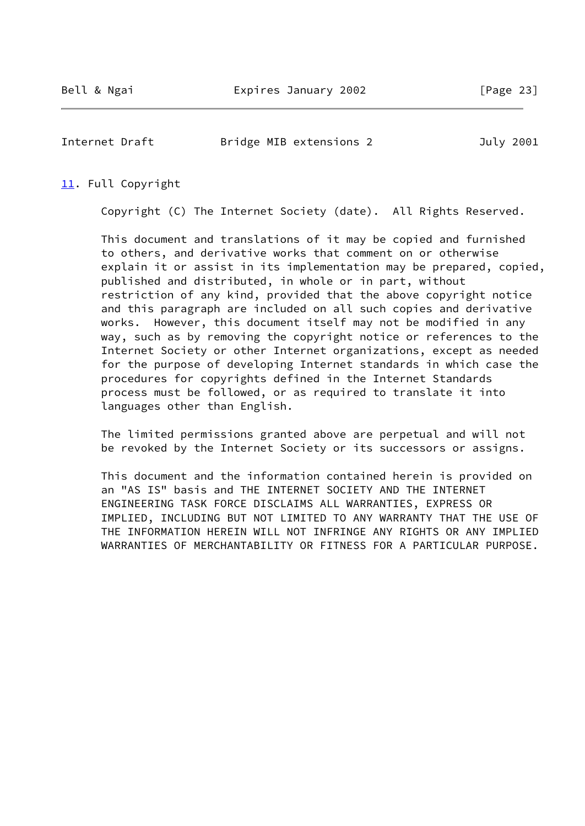<span id="page-26-1"></span>Internet Draft **Bridge MIB extensions 2** July 2001

#### <span id="page-26-0"></span>[11.](#page-26-0) Full Copyright

Copyright (C) The Internet Society (date). All Rights Reserved.

 This document and translations of it may be copied and furnished to others, and derivative works that comment on or otherwise explain it or assist in its implementation may be prepared, copied, published and distributed, in whole or in part, without restriction of any kind, provided that the above copyright notice and this paragraph are included on all such copies and derivative works. However, this document itself may not be modified in any way, such as by removing the copyright notice or references to the Internet Society or other Internet organizations, except as needed for the purpose of developing Internet standards in which case the procedures for copyrights defined in the Internet Standards process must be followed, or as required to translate it into languages other than English.

 The limited permissions granted above are perpetual and will not be revoked by the Internet Society or its successors or assigns.

 This document and the information contained herein is provided on an "AS IS" basis and THE INTERNET SOCIETY AND THE INTERNET ENGINEERING TASK FORCE DISCLAIMS ALL WARRANTIES, EXPRESS OR IMPLIED, INCLUDING BUT NOT LIMITED TO ANY WARRANTY THAT THE USE OF THE INFORMATION HEREIN WILL NOT INFRINGE ANY RIGHTS OR ANY IMPLIED WARRANTIES OF MERCHANTABILITY OR FITNESS FOR A PARTICULAR PURPOSE.